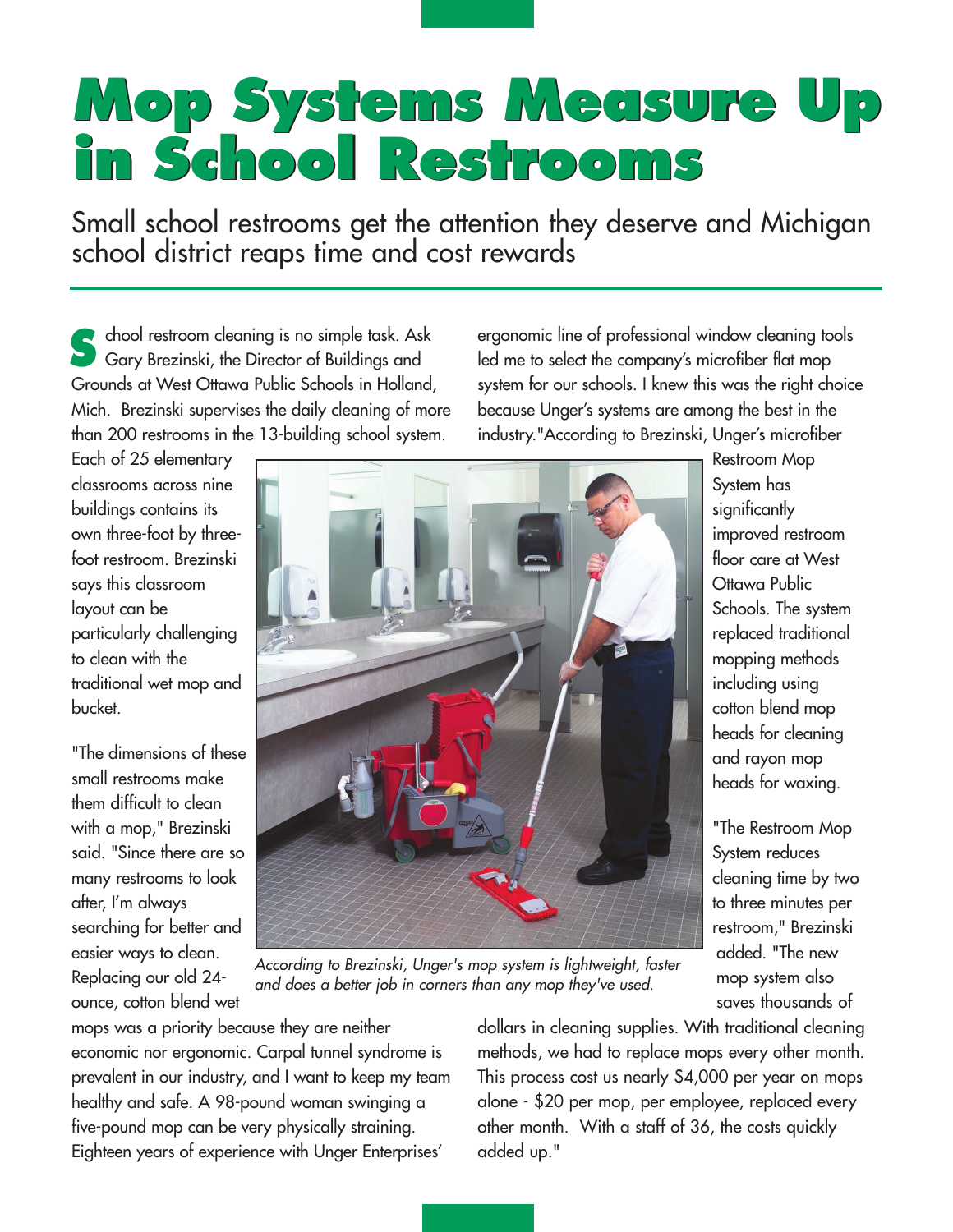## **Mop Systems Measure Up Mop Systems Measure Up in School Restrooms in School Restrooms**

Small school restrooms get the attention they deserve and Michigan school district reaps time and cost rewards

chool restroom cleaning is no simple task. Ask Gary Brezinski, the Director of Buildings and Grounds at West Ottawa Public Schools in Holland, Mich. Brezinski supervises the daily cleaning of more than 200 restrooms in the 13-building school system. **S**

Each of 25 elementary classrooms across nine buildings contains its own three-foot by threefoot restroom. Brezinski says this classroom layout can be particularly challenging to clean with the traditional wet mop and bucket.

"The dimensions of these small restrooms make them difficult to clean with a mop," Brezinski said. "Since there are so many restrooms to look after, I'm always searching for better and easier ways to clean. Replacing our old 24 ounce, cotton blend wet



According to Brezinski, Unger's mop system is lightweight, faster and does a better job in corners than any mop they've used.

mops was a priority because they are neither economic nor ergonomic. Carpal tunnel syndrome is prevalent in our industry, and I want to keep my team healthy and safe. A 98-pound woman swinging a five-pound mop can be very physically straining. Eighteen years of experience with Unger Enterprises'

ergonomic line of professional window cleaning tools led me to select the company's microfiber flat mop system for our schools. I knew this was the right choice because Unger's systems are among the best in the industry."According to Brezinski, Unger's microfiber

> Restroom Mop System has significantly improved restroom floor care at West Ottawa Public Schools. The system replaced traditional mopping methods including using cotton blend mop heads for cleaning and rayon mop heads for waxing.

"The Restroom Mop System reduces cleaning time by two to three minutes per restroom," Brezinski added. "The new mop system also saves thousands of

dollars in cleaning supplies. With traditional cleaning methods, we had to replace mops every other month. This process cost us nearly \$4,000 per year on mops alone - \$20 per mop, per employee, replaced every other month. With a staff of 36, the costs quickly added up."